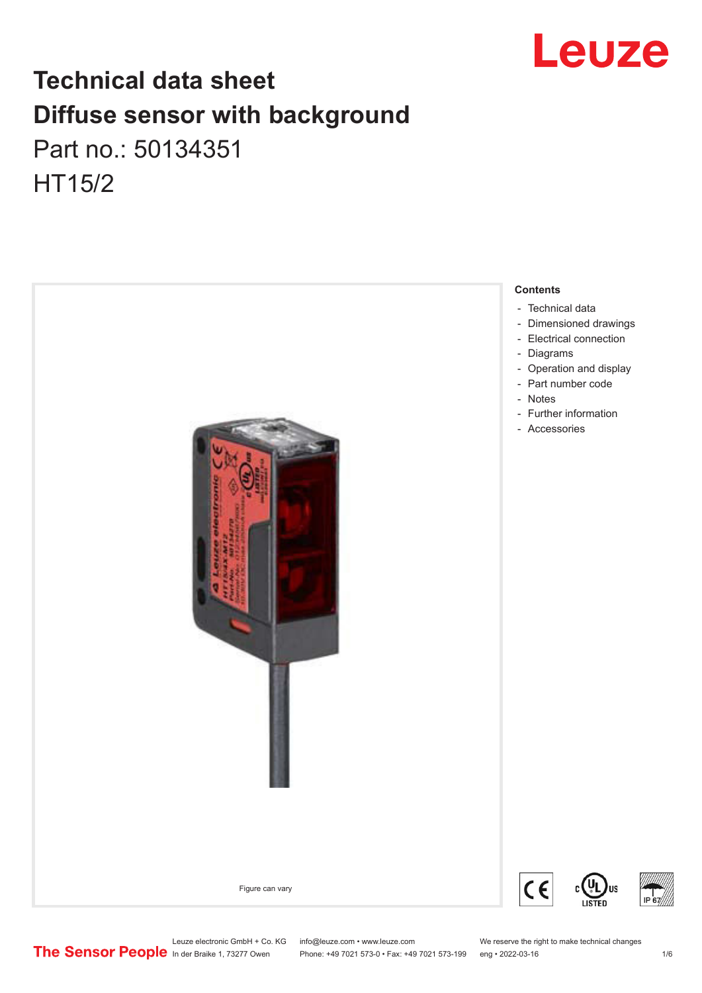

## **Technical data sheet Diffuse sensor with background**  Part no.: 50134351

HT15/2



Leuze electronic GmbH + Co. KG info@leuze.com • www.leuze.com We reserve the right to make technical changes<br>
The Sensor People in der Braike 1, 73277 Owen Phone: +49 7021 573-0 • Fax: +49 7021 573-199 eng • 2022-03-16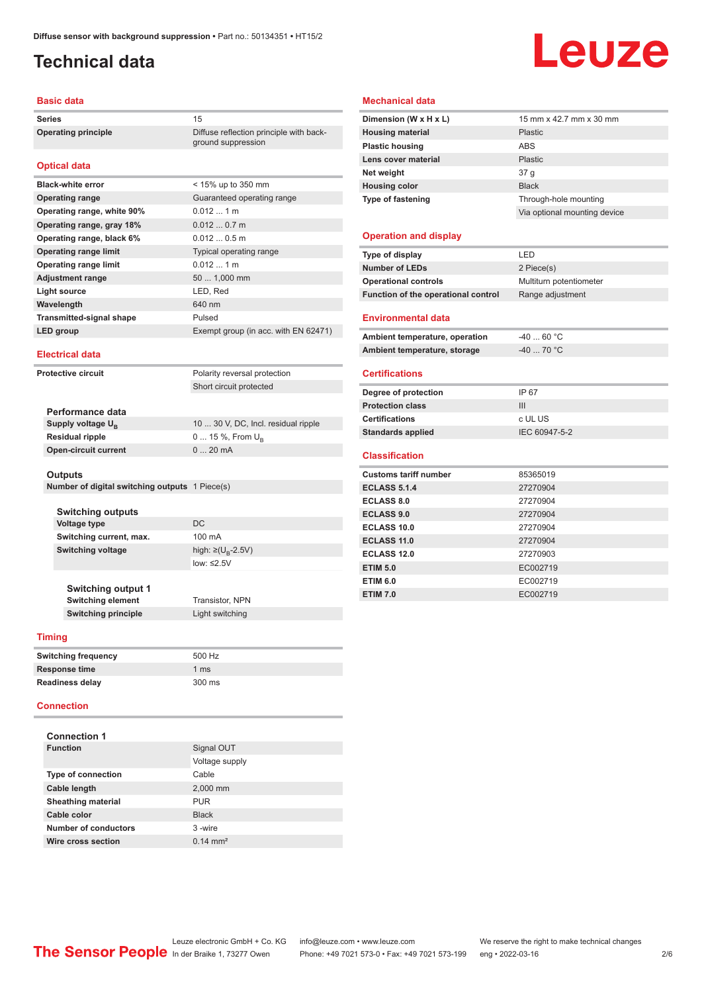## <span id="page-1-0"></span>**Technical data**

# Leuze

#### **Basic data**

Series 15 **Operating principle** Diffuse reflection principle with back-

#### **Optical data**

| <b>Black-white error</b>        | $<$ 15% up to 350 mm                 |
|---------------------------------|--------------------------------------|
| <b>Operating range</b>          | Guaranteed operating range           |
| Operating range, white 90%      | $0.012 \pm 1 \text{ m}$              |
| Operating range, gray 18%       | $0.0120.7$ m                         |
| Operating range, black 6%       | $0.0120.5$ m                         |
| <b>Operating range limit</b>    | Typical operating range              |
| <b>Operating range limit</b>    | $0.012$ 1 m                          |
| <b>Adjustment range</b>         | 50  1,000 mm                         |
| <b>Light source</b>             | LED, Red                             |
| Wavelength                      | 640 nm                               |
| <b>Transmitted-signal shape</b> | Pulsed                               |
| LED group                       | Exempt group (in acc. with EN 62471) |

ground suppression

#### **Electrical data**

**Protective circuit** Polarity reversal protection Short circuit protected

| Performance data              |                                     |
|-------------------------------|-------------------------------------|
| Supply voltage U <sub>p</sub> | 10  30 V, DC, Incl. residual ripple |
| <b>Residual ripple</b>        | $0 15 \%$ , From $U_{p}$            |
| <b>Open-circuit current</b>   | $020$ mA                            |
|                               |                                     |

#### **Outputs**

**Number of digital switching outputs** 1 Piece(s)

| <b>Switching outputs</b>                              |                         |
|-------------------------------------------------------|-------------------------|
| <b>Voltage type</b>                                   | DC.                     |
| Switching current, max.                               | 100 mA                  |
| Switching voltage                                     | high: ≥( $U_p - 2.5V$ ) |
|                                                       | low: $\leq 2.5V$        |
|                                                       |                         |
| <b>Switching output 1</b><br><b>Switching element</b> | Transistor, NPN         |
|                                                       |                         |

## **Switching principle** Light switching

| <b>Timing</b>              |                  |
|----------------------------|------------------|
| <b>Switching frequency</b> | 500 Hz           |
| <b>Response time</b>       | 1 <sub>ms</sub>  |
| <b>Readiness delay</b>     | $300 \text{ ms}$ |

#### **Connection**

| <b>Connection 1</b>       |                     |  |  |  |
|---------------------------|---------------------|--|--|--|
| <b>Function</b>           | Signal OUT          |  |  |  |
|                           | Voltage supply      |  |  |  |
| <b>Type of connection</b> | Cable               |  |  |  |
| Cable length              | 2,000 mm            |  |  |  |
| <b>Sheathing material</b> | <b>PUR</b>          |  |  |  |
| Cable color               | <b>Black</b>        |  |  |  |
| Number of conductors      | 3-wire              |  |  |  |
| Wire cross section        | $0.14 \text{ mm}^2$ |  |  |  |

#### **Mechanical data**

| Dimension (W x H x L)        | 15 mm x 42.7 mm x 30 mm      |
|------------------------------|------------------------------|
| <b>Housing material</b>      | Plastic                      |
| <b>Plastic housing</b>       | ABS                          |
| Lens cover material          | Plastic                      |
| Net weight                   | 37 g                         |
| <b>Housing color</b>         | <b>Black</b>                 |
| Type of fastening            | Through-hole mounting        |
|                              | Via optional mounting device |
| <b>Operation and display</b> |                              |

## **Type of display** LED

| <b>Number of LEDs</b>               | 2 Piece(s)              |
|-------------------------------------|-------------------------|
| <b>Operational controls</b>         | Multiturn potentiometer |
| Function of the operational control | Range adjustment        |
| <b>Environmental data</b>           |                         |
| Ambient temperature, operation      | $-4060 °C$              |
| Ambient temperature, storage        | $-4070 °C$              |
| <b>Certifications</b>               |                         |
| Degree of protection                | IP 67                   |
| <b>Protection class</b>             | III                     |
| <b>Certifications</b>               | c UL US                 |
| <b>Standards applied</b>            | IEC 60947-5-2           |
| <b>Classification</b>               |                         |
| <b>Customs tariff number</b>        | 85365019                |
| <b>ECLASS 5.1.4</b>                 | 27270904                |
| <b>ECLASS 8.0</b>                   | 27270904                |
| <b>ECLASS 9.0</b>                   | 27270904                |
| <b>ECLASS 10.0</b>                  | 27270904                |
| ECLASS 11.0                         | 27270904                |
| <b>ECLASS 12.0</b>                  | 27270903                |
| <b>ETIM 5.0</b>                     | EC002719                |
| <b>ETIM 6.0</b>                     | EC002719                |
| <b>ETIM 7.0</b>                     | EC002719                |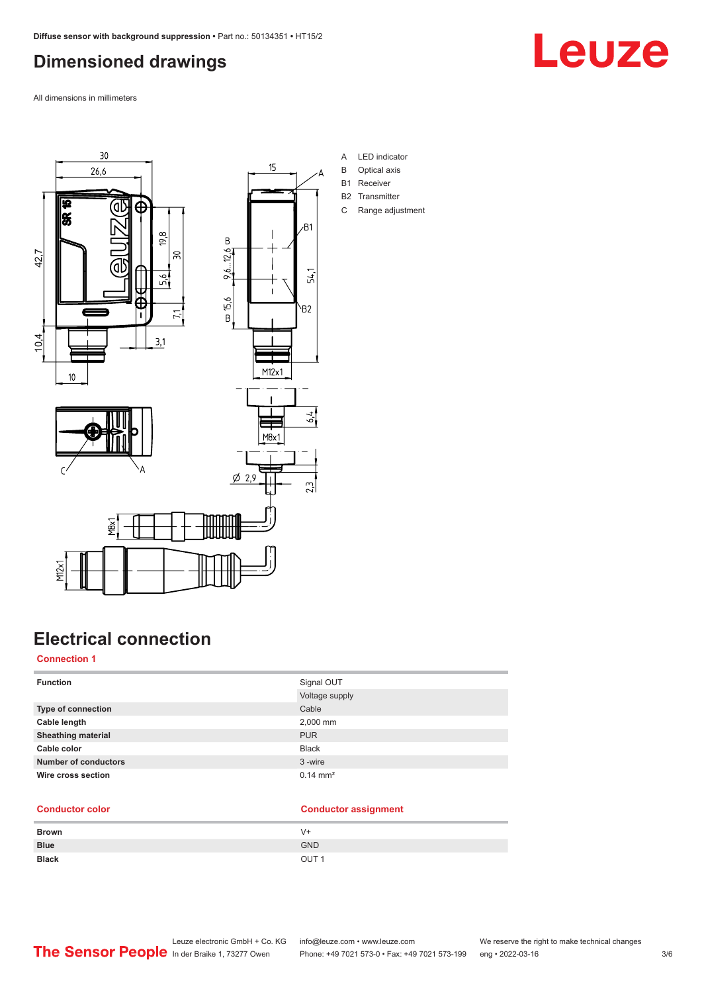## <span id="page-2-0"></span>**Dimensioned drawings**

All dimensions in millimeters

छ

|<br>အ

42,7



 $5.6$ 

 $71$ 



- A LED indicator
- B Optical axis
- B1 Receiver
- B2 Transmitter C Range adjustment

ī 10,4  $3,1$  $10$ 



## **Electrical connection**

YBX

#### **Connection 1**

M<sub>2</sub>x1

| <b>Function</b>             | Signal OUT          |
|-----------------------------|---------------------|
|                             | Voltage supply      |
| <b>Type of connection</b>   | Cable               |
| Cable length                | 2,000 mm            |
| <b>Sheathing material</b>   | <b>PUR</b>          |
| Cable color                 | <b>Black</b>        |
| <b>Number of conductors</b> | 3-wire              |
| Wire cross section          | $0.14 \text{ mm}^2$ |

#### **Conductor color Conductor assignment**

| <b>Brown</b> | $V +$            |
|--------------|------------------|
| <b>Blue</b>  | <b>GND</b>       |
| <b>Black</b> | OUT <sub>1</sub> |

Leuze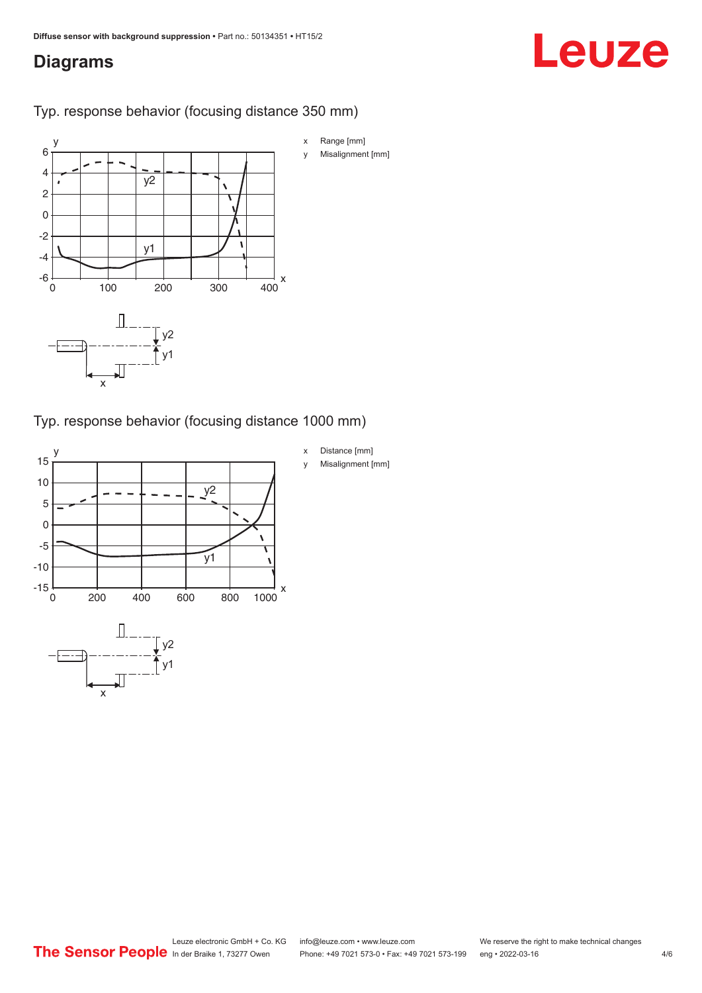## <span id="page-3-0"></span>**Diagrams**

# Leuze

### Typ. response behavior (focusing distance 350 mm)



### Typ. response behavior (focusing distance 1000 mm)

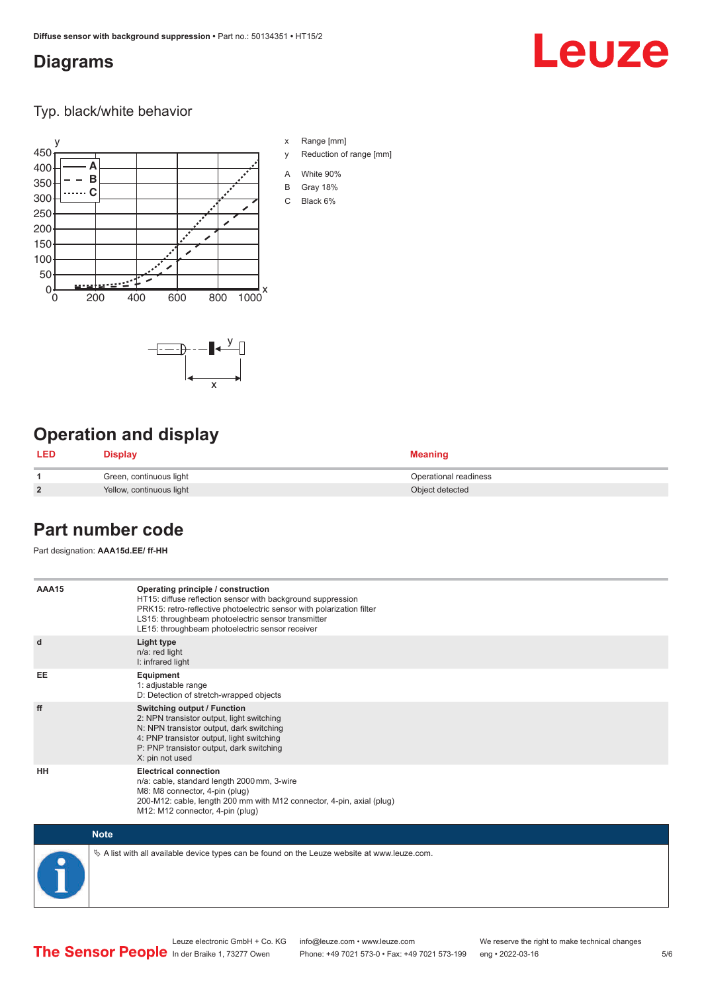## <span id="page-4-0"></span>**Diagrams**

## Leuze

Typ. black/white behavior



x

 $\begin{picture}(120,115) \put(15,115){\line(1,0){150}} \put(15,115){\line(1,0){150}} \put(15,115){\line(1,0){150}} \put(15,115){\line(1,0){150}} \put(15,115){\line(1,0){150}} \put(15,115){\line(1,0){150}} \put(15,115){\line(1,0){150}} \put(15,115){\line(1,0){150}} \put(15,115){\line(1,0){150}} \put(15,115){\line(1,0){1$ 

x Range [mm]

- y Reduction of range [mm]
- A White 90%
- B Gray 18%
- C Black 6%



| <b>LED</b>     | Display                  | <b>Meaning</b>        |
|----------------|--------------------------|-----------------------|
|                | Green, continuous light  | Operational readiness |
| $\overline{2}$ | Yellow, continuous light | Object detected       |

## **Part number code**

Part designation: **AAA15d.EE/ ff-HH**

| AAA15       | Operating principle / construction<br>HT15: diffuse reflection sensor with background suppression<br>PRK15: retro-reflective photoelectric sensor with polarization filter<br>LS15: throughbeam photoelectric sensor transmitter<br>LE15: throughbeam photoelectric sensor receiver |
|-------------|-------------------------------------------------------------------------------------------------------------------------------------------------------------------------------------------------------------------------------------------------------------------------------------|
| d           | Light type<br>n/a: red light<br>I: infrared light                                                                                                                                                                                                                                   |
| <b>EE</b>   | Equipment<br>1: adjustable range<br>D: Detection of stretch-wrapped objects                                                                                                                                                                                                         |
| ff          | Switching output / Function<br>2: NPN transistor output, light switching<br>N: NPN transistor output, dark switching<br>4: PNP transistor output, light switching<br>P: PNP transistor output, dark switching<br>X: pin not used                                                    |
| HH          | <b>Electrical connection</b><br>n/a: cable, standard length 2000 mm, 3-wire<br>M8: M8 connector, 4-pin (plug)<br>200-M12: cable, length 200 mm with M12 connector, 4-pin, axial (plug)<br>M12: M12 connector, 4-pin (plug)                                                          |
| <b>Note</b> |                                                                                                                                                                                                                                                                                     |

 $\%$  A list with all available device types can be found on the Leuze website at www.leuze.com.

Phone: +49 7021 573-0 • Fax: +49 7021 573-199 eng • 2022-03-16